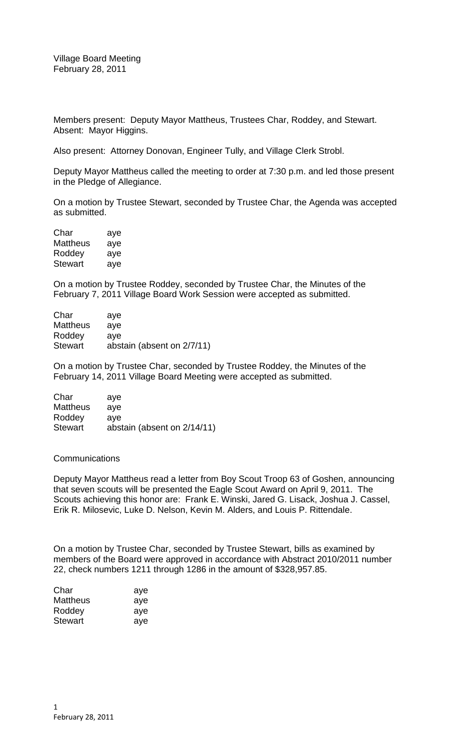Village Board Meeting February 28, 2011

Members present: Deputy Mayor Mattheus, Trustees Char, Roddey, and Stewart. Absent: Mayor Higgins.

Also present: Attorney Donovan, Engineer Tully, and Village Clerk Strobl.

Deputy Mayor Mattheus called the meeting to order at 7:30 p.m. and led those present in the Pledge of Allegiance.

On a motion by Trustee Stewart, seconded by Trustee Char, the Agenda was accepted as submitted.

| Char     | aye |
|----------|-----|
| Mattheus | aye |
| Roddey   | aye |
| Stewart  | aye |

On a motion by Trustee Roddey, seconded by Trustee Char, the Minutes of the February 7, 2011 Village Board Work Session were accepted as submitted.

| Char            | ave                        |
|-----------------|----------------------------|
| <b>Mattheus</b> | ave                        |
| Roddey          | ave                        |
| <b>Stewart</b>  | abstain (absent on 2/7/11) |

On a motion by Trustee Char, seconded by Trustee Roddey, the Minutes of the February 14, 2011 Village Board Meeting were accepted as submitted.

| Char            | ave                         |
|-----------------|-----------------------------|
| <b>Mattheus</b> | ave                         |
| Roddey          | ave                         |
| <b>Stewart</b>  | abstain (absent on 2/14/11) |

## **Communications**

Deputy Mayor Mattheus read a letter from Boy Scout Troop 63 of Goshen, announcing that seven scouts will be presented the Eagle Scout Award on April 9, 2011. The Scouts achieving this honor are: Frank E. Winski, Jared G. Lisack, Joshua J. Cassel, Erik R. Milosevic, Luke D. Nelson, Kevin M. Alders, and Louis P. Rittendale.

On a motion by Trustee Char, seconded by Trustee Stewart, bills as examined by members of the Board were approved in accordance with Abstract 2010/2011 number 22, check numbers 1211 through 1286 in the amount of \$328,957.85.

| Char     | aye |
|----------|-----|
| Mattheus | aye |
| Roddey   | aye |
| Stewart  | ave |